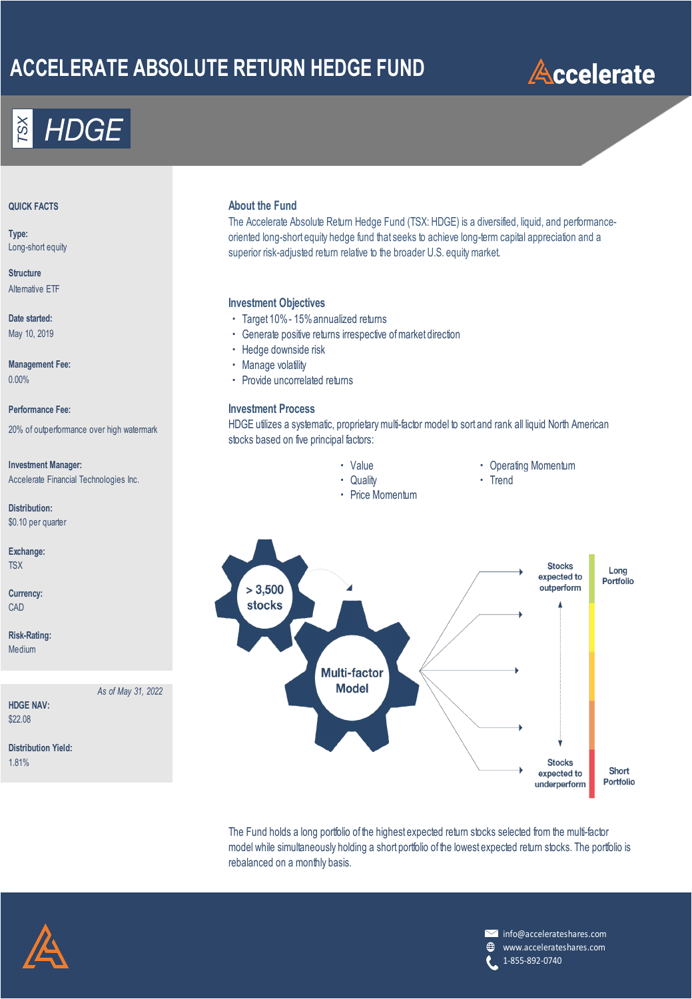# **ACCELERATE ABSOLUTE RETURN HEDGE FUND**



**Type:** Long-short equity

**Structure** Alternative ETF

**Date started:** May 10, 2019

**Management Fee:** 0.00%

20% of outperformance over high watermark

**Investment Manager: The Contract Operating Contract Operating Momentum** Three School Contract Operating Momentum Accelerate Financial Technologies Inc. <br> **Accelerate Financial Technologies Inc.** Trend

**Distribution:** \$0.10 per quarter

**Exchange:** TSX

**Currency:** CAD

**Risk-Rating:** Medium

*As of May 31, 2022*

**HDGE NAV:** \$22.08

**Distribution Yield:** 1.81%

### **QUICK FACTS About the Fund**

The Accelerate Absolute Return Hedge Fund (TSX: HDGE) is a diversified, liquid, and performanceoriented long-short equity hedge fund that seeks to achieve long-term capital appreciation and a superior risk-adjusted return relative to the broader U.S. equity market.

### **Investment Objectives**

- ・ Target 10% 15% annualized returns
- ・ Generate positive returns irrespective of market direction
- ・ Hedge downside risk
- ・ Manage volatility
- ・ Provide uncorrelated returns

### **Performance Fee: Investment Process**

HDGE utilizes a systematic, proprietary multi-factor model to sort and rank all liquid North American stocks based on five principal factors:

- 
- 
- 
- ・ Price Momentum
- 
- 



The Fund holds a long portfolio of the highest expected return stocks selected from the multi-factor model while simultaneously holding a short portfolio of the lowest expected return stocks. The portfolio is rebalanced on a monthly basis.



**M** info@accelerateshares.com  $\bigoplus$ www.accelerateshares.com 1-855-892-0740